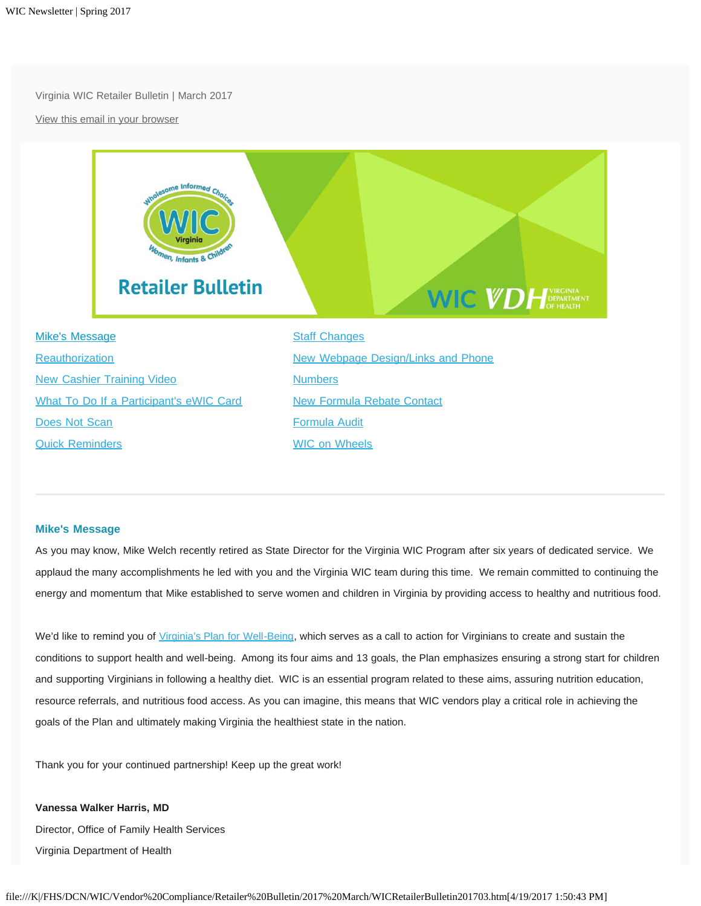Virginia WIC Retailer Bulletin | March 2017

[View this email in your browser](http://us12.campaign-archive2.com/?e=[UNIQID]&u=9936ec60802adc4db7a3c0625&id=d470b5b05b)



### <span id="page-0-0"></span>**Mike's Message**

As you may know, Mike Welch recently retired as State Director for the Virginia WIC Program after six years of dedicated service. We applaud the many accomplishments he led with you and the Virginia WIC team during this time. We remain committed to continuing the energy and momentum that Mike established to serve women and children in Virginia by providing access to healthy and nutritious food.

We'd like to remind you of [Virginia's Plan for Well-Being,](http://virginiawellbeing.com/) which serves as a call to action for Virginians to create and sustain the conditions to support health and well-being. Among its four aims and 13 goals, the Plan emphasizes ensuring a strong start for children and supporting Virginians in following a healthy diet. WIC is an essential program related to these aims, assuring nutrition education, resource referrals, and nutritious food access. As you can imagine, this means that WIC vendors play a critical role in achieving the goals of the Plan and ultimately making Virginia the healthiest state in the nation.

Thank you for your continued partnership! Keep up the great work!

**Vanessa Walker Harris, MD** Director, Office of Family Health Services Virginia Department of Health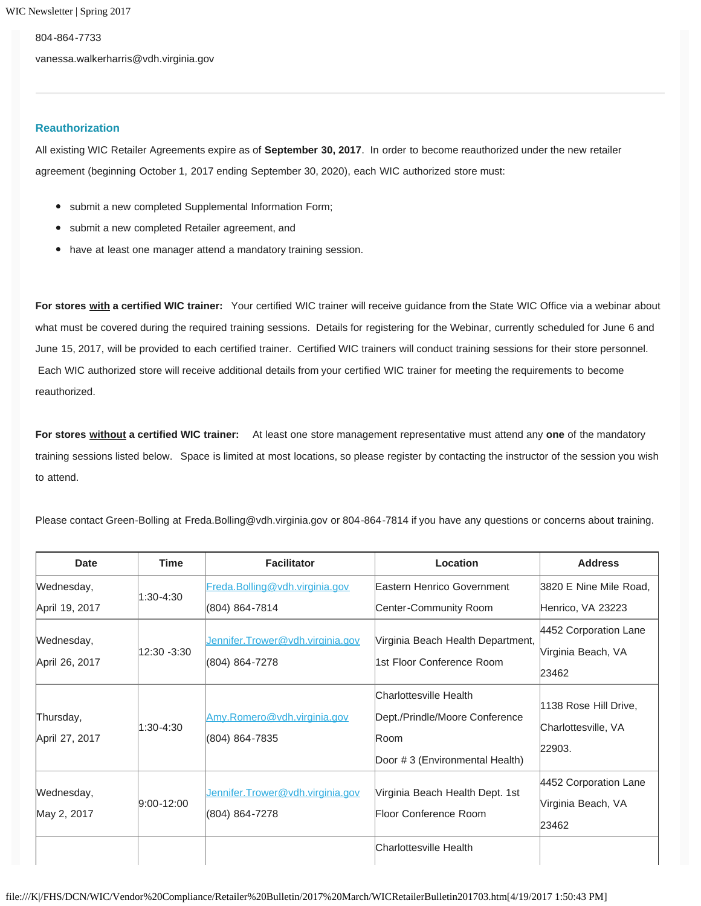804-864-7733 vanessa.walkerharris@vdh.virginia.gov

### <span id="page-1-0"></span>**Reauthorization**

All existing WIC Retailer Agreements expire as of **September 30, 2017**. In order to become reauthorized under the new retailer agreement (beginning October 1, 2017 ending September 30, 2020), each WIC authorized store must:

- submit a new completed Supplemental Information Form;
- submit a new completed Retailer agreement, and
- have at least one manager attend a mandatory training session.

**For stores with a certified WIC trainer:** Your certified WIC trainer will receive guidance from the State WIC Office via a webinar about what must be covered during the required training sessions. Details for registering for the Webinar, currently scheduled for June 6 and June 15, 2017, will be provided to each certified trainer. Certified WIC trainers will conduct training sessions for their store personnel. Each WIC authorized store will receive additional details from your certified WIC trainer for meeting the requirements to become reauthorized.

**For stores without a certified WIC trainer:** At least one store management representative must attend any **one** of the mandatory training sessions listed below. Space is limited at most locations, so please register by contacting the instructor of the session you wish to attend.

Please contact Green-Bolling at Freda.Bolling@vdh.virginia.gov or 804-864-7814 if you have any questions or concerns about training.

| <b>Date</b>                  | <b>Time</b>    | <b>Facilitator</b>                                 | Location                                                                                           | <b>Address</b>                                         |
|------------------------------|----------------|----------------------------------------------------|----------------------------------------------------------------------------------------------------|--------------------------------------------------------|
| Wednesday,                   | 1:30-4:30      | Freda.Bolling@vdh.virginia.gov                     | Eastern Henrico Government                                                                         | 3820 E Nine Mile Road,                                 |
| April 19, 2017               |                | (804) 864-7814                                     | Center-Community Room                                                                              | Henrico, VA 23223                                      |
| Wednesday,<br>April 26, 2017 | 12:30 -3:30    | Jennifer.Trower@vdh.virginia.gov<br>(804) 864-7278 | Virginia Beach Health Department,<br>1st Floor Conference Room                                     | 4452 Corporation Lane<br>Virginia Beach, VA<br>23462   |
| Thursday,<br>April 27, 2017  | 1:30-4:30      | Amy.Romero@vdh.virginia.gov<br>(804) 864-7835      | Charlottesville Health<br>Dept./Prindle/Moore Conference<br>Room<br>Door #3 (Environmental Health) | 1138 Rose Hill Drive,<br>Charlottesville, VA<br>22903. |
| Wednesday,<br>May 2, 2017    | $9:00 - 12:00$ | Jennifer.Trower@vdh.virginia.gov<br>(804) 864-7278 | Virginia Beach Health Dept. 1st<br>Floor Conference Room                                           | 4452 Corporation Lane<br>Virginia Beach, VA<br>23462   |
|                              |                |                                                    | Charlottesville Health                                                                             |                                                        |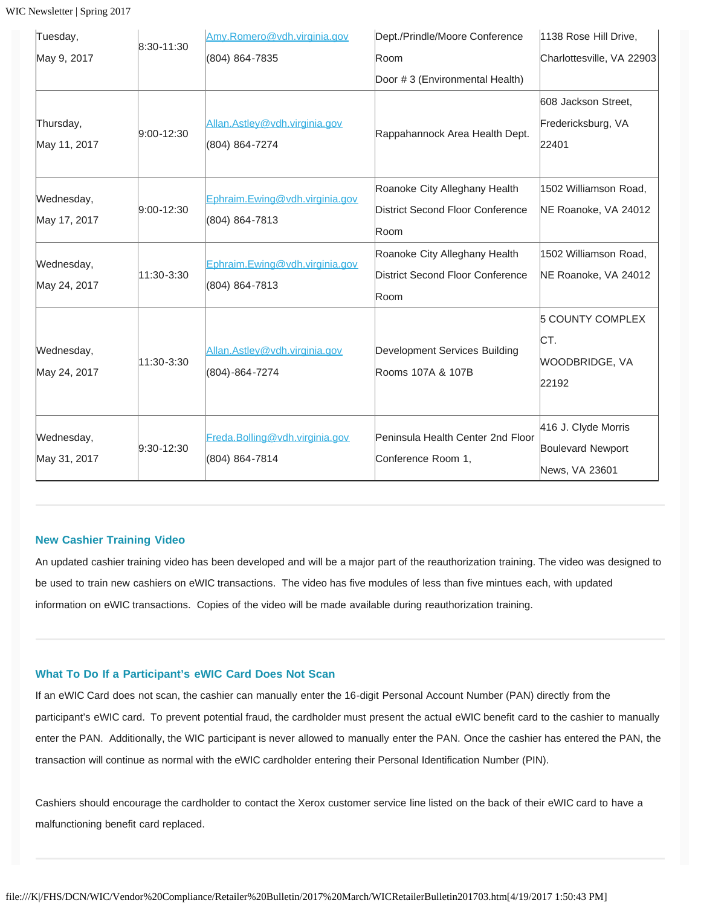WIC Newsletter | Spring 2017

| Tuesday,                   | 8:30-11:30     | Amy.Romero@vdh.virginia.gov                      | Dept./Prindle/Moore Conference                                            | 1138 Rose Hill Drive,                                             |
|----------------------------|----------------|--------------------------------------------------|---------------------------------------------------------------------------|-------------------------------------------------------------------|
| May 9, 2017                |                | (804) 864-7835                                   | Room                                                                      | Charlottesville, VA 22903                                         |
|                            |                |                                                  | Door #3 (Environmental Health)                                            |                                                                   |
| Thursday,<br>May 11, 2017  | $9:00 - 12:30$ | Allan.Astley@vdh.virginia.gov<br>(804) 864-7274  | Rappahannock Area Health Dept.                                            | 608 Jackson Street.<br>Fredericksburg, VA<br>22401                |
| Wednesday,<br>May 17, 2017 | $9:00 - 12:30$ | Ephraim.Ewing@vdh.virginia.gov<br>(804) 864-7813 | Roanoke City Alleghany Health<br>District Second Floor Conference<br>Room | 1502 Williamson Road,<br>NE Roanoke, VA 24012                     |
| Wednesday,<br>May 24, 2017 | 11:30-3:30     | Ephraim.Ewing@vdh.virginia.gov<br>(804) 864-7813 | Roanoke City Alleghany Health<br>District Second Floor Conference<br>Room | 1502 Williamson Road,<br>NE Roanoke, VA 24012                     |
| Wednesday,<br>May 24, 2017 | 11:30-3:30     | Allan.Astley@vdh.virginia.gov<br>(804)-864-7274  | Development Services Building<br>Rooms 107A & 107B                        | <b>5 COUNTY COMPLEX</b><br>CT.<br><b>WOODBRIDGE, VA</b><br>22192  |
| Wednesday,<br>May 31, 2017 | $9:30-12:30$   | Freda.Bolling@vdh.virginia.gov<br>(804) 864-7814 | Peninsula Health Center 2nd Floor<br>Conference Room 1,                   | 416 J. Clyde Morris<br><b>Boulevard Newport</b><br>News, VA 23601 |

## <span id="page-2-0"></span>**New Cashier Training Video**

An updated cashier training video has been developed and will be a major part of the reauthorization training. The video was designed to be used to train new cashiers on eWIC transactions. The video has five modules of less than five mintues each, with updated information on eWIC transactions. Copies of the video will be made available during reauthorization training.

### <span id="page-2-1"></span>**What To Do If a Participant's eWIC Card Does Not Scan**

If an eWIC Card does not scan, the cashier can manually enter the 16-digit Personal Account Number (PAN) directly from the participant's eWIC card. To prevent potential fraud, the cardholder must present the actual eWIC benefit card to the cashier to manually enter the PAN. Additionally, the WIC participant is never allowed to manually enter the PAN. Once the cashier has entered the PAN, the transaction will continue as normal with the eWIC cardholder entering their Personal Identification Number (PIN).

Cashiers should encourage the cardholder to contact the Xerox customer service line listed on the back of their eWIC card to have a malfunctioning benefit card replaced.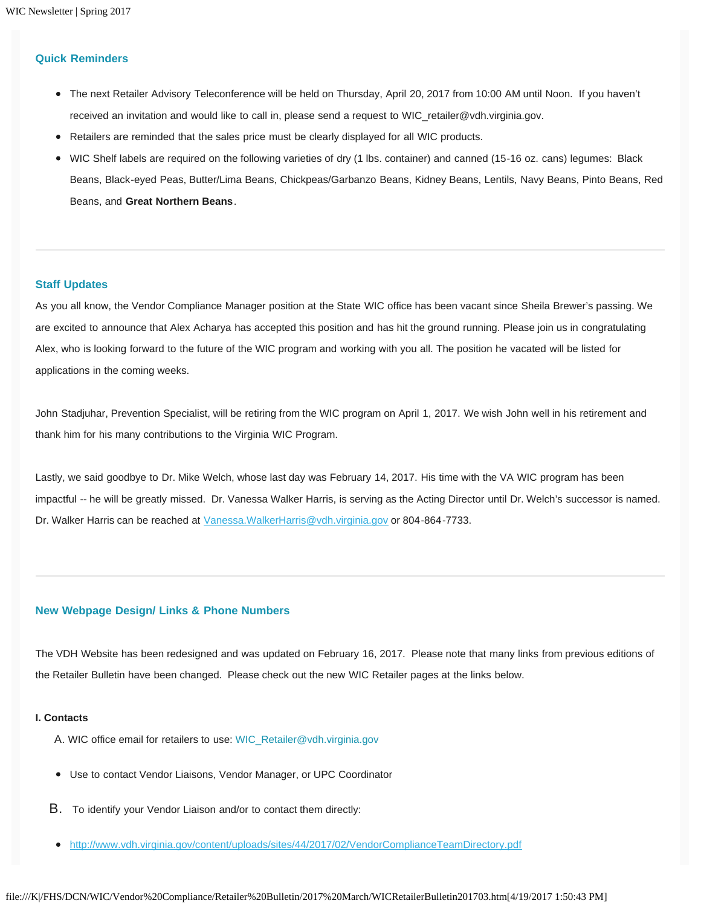## <span id="page-3-0"></span>**Quick Reminders**

- The next Retailer Advisory Teleconference will be held on Thursday, April 20, 2017 from 10:00 AM until Noon. If you haven't received an invitation and would like to call in, please send a request to WIC\_retailer@vdh.virginia.gov.
- Retailers are reminded that the sales price must be clearly displayed for all WIC products.
- WIC Shelf labels are required on the following varieties of dry (1 lbs. container) and canned (15-16 oz. cans) legumes: Black Beans, Black-eyed Peas, Butter/Lima Beans, Chickpeas/Garbanzo Beans, Kidney Beans, Lentils, Navy Beans, Pinto Beans, Red Beans, and **Great Northern Beans**.

### <span id="page-3-1"></span>**Staff Updates**

As you all know, the Vendor Compliance Manager position at the State WIC office has been vacant since Sheila Brewer's passing. We are excited to announce that Alex Acharya has accepted this position and has hit the ground running. Please join us in congratulating Alex, who is looking forward to the future of the WIC program and working with you all. The position he vacated will be listed for applications in the coming weeks.

John Stadjuhar, Prevention Specialist, will be retiring from the WIC program on April 1, 2017. We wish John well in his retirement and thank him for his many contributions to the Virginia WIC Program.

Lastly, we said goodbye to Dr. Mike Welch, whose last day was February 14, 2017. His time with the VA WIC program has been impactful -- he will be greatly missed. Dr. Vanessa Walker Harris, is serving as the Acting Director until Dr. Welch's successor is named. Dr. Walker Harris can be reached at [Vanessa.WalkerHarris@vdh.virginia.gov](mailto:Vanessa.WalkerHarris@vdh.virginia.gov) or 804-864-7733.

## <span id="page-3-2"></span>**New Webpage Design/ Links & Phone Numbers**

The VDH Website has been redesigned and was updated on February 16, 2017. Please note that many links from previous editions of the Retailer Bulletin have been changed. Please check out the new WIC Retailer pages at the links below.

#### **I. Contacts**

- A. WIC office email for retailers to use: WIC\_Retailer@vdh.virginia.gov
- Use to contact Vendor Liaisons, Vendor Manager, or UPC Coordinator
- B. To identify your Vendor Liaison and/or to contact them directly:
- <http://www.vdh.virginia.gov/content/uploads/sites/44/2017/02/VendorComplianceTeamDirectory.pdf>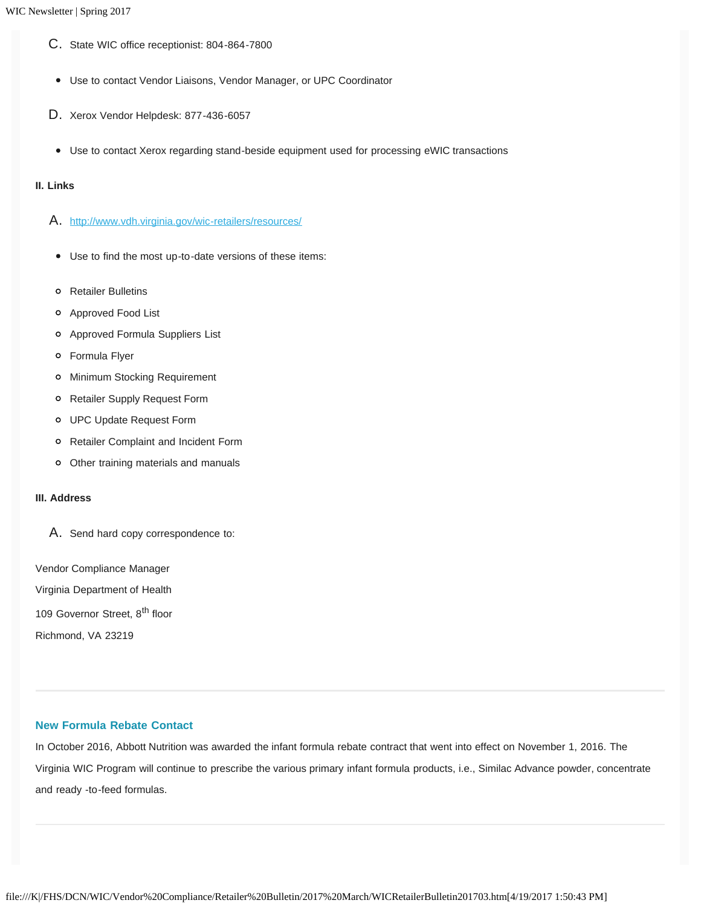- C. State WIC office receptionist: 804-864-7800
- Use to contact Vendor Liaisons, Vendor Manager, or UPC Coordinator
- D. Xerox Vendor Helpdesk: 877-436-6057
- Use to contact Xerox regarding stand-beside equipment used for processing eWIC transactions

# **II. Links**

- A. <http://www.vdh.virginia.gov/wic-retailers/resources/>
- Use to find the most up-to-date versions of these items:
- Retailer Bulletins
- Approved Food List
- Approved Formula Suppliers List
- Formula Flyer
- Minimum Stocking Requirement
- Retailer Supply Request Form
- UPC Update Request Form
- Retailer Complaint and Incident Form
- Other training materials and manuals

## **III. Address**

A. Send hard copy correspondence to:

Vendor Compliance Manager Virginia Department of Health

109 Governor Street, 8<sup>th</sup> floor

Richmond, VA 23219

# <span id="page-4-0"></span>**New Formula Rebate Contact**

In October 2016, Abbott Nutrition was awarded the infant formula rebate contract that went into effect on November 1, 2016. The Virginia WIC Program will continue to prescribe the various primary infant formula products, i.e., Similac Advance powder, concentrate and ready -to-feed formulas.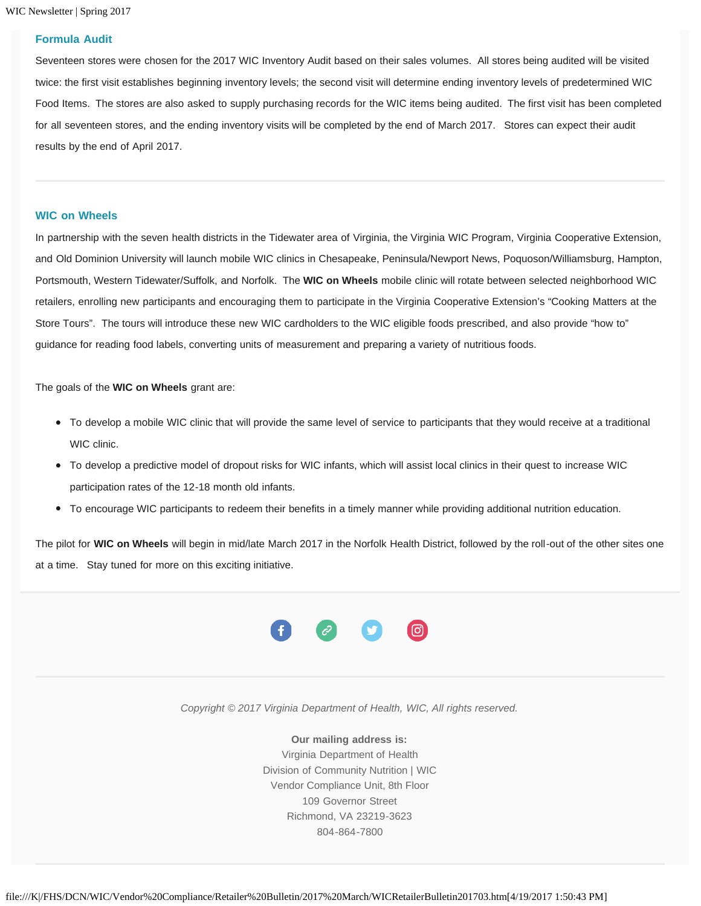<span id="page-5-0"></span>WIC Newsletter | Spring 2017

#### **Formula Audit**

Seventeen stores were chosen for the 2017 WIC Inventory Audit based on their sales volumes. All stores being audited will be visited twice: the first visit establishes beginning inventory levels; the second visit will determine ending inventory levels of predetermined WIC Food Items. The stores are also asked to supply purchasing records for the WIC items being audited. The first visit has been completed for all seventeen stores, and the ending inventory visits will be completed by the end of March 2017. Stores can expect their audit results by the end of April 2017.

### <span id="page-5-1"></span>**WIC on Wheels**

In partnership with the seven health districts in the Tidewater area of Virginia, the Virginia WIC Program, Virginia Cooperative Extension, and Old Dominion University will launch mobile WIC clinics in Chesapeake, Peninsula/Newport News, Poquoson/Williamsburg, Hampton, Portsmouth, Western Tidewater/Suffolk, and Norfolk. The **WIC on Wheels** mobile clinic will rotate between selected neighborhood WIC retailers, enrolling new participants and encouraging them to participate in the Virginia Cooperative Extension's "Cooking Matters at the Store Tours". The tours will introduce these new WIC cardholders to the WIC eligible foods prescribed, and also provide "how to" guidance for reading food labels, converting units of measurement and preparing a variety of nutritious foods.

The goals of the **WIC on Wheels** grant are:

- To develop a mobile WIC clinic that will provide the same level of service to participants that they would receive at a traditional WIC clinic.
- To develop a predictive model of dropout risks for WIC infants, which will assist local clinics in their quest to increase WIC participation rates of the 12-18 month old infants.
- To encourage WIC participants to redeem their benefits in a timely manner while providing additional nutrition education.

The pilot for **WIC on Wheels** will begin in mid/late March 2017 in the Norfolk Health District, followed by the roll-out of the other sites one at a time. Stay tuned for more on this exciting initiative.



*Copyright © 2017 Virginia Department of Health, WIC, All rights reserved.*

**Our mailing address is:** Virginia Department of Health Division of Community Nutrition | WIC Vendor Compliance Unit, 8th Floor 109 Governor Street Richmond, VA 23219-3623 804-864-7800